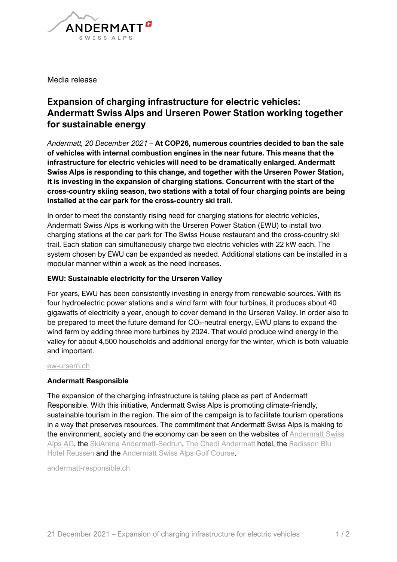

Media release

## **Expansion of charging infrastructure for electric vehicles: Andermatt Swiss Alps and Urseren Power Station working together for sustainable energy**

*Andermatt, 20 December 2021* – **At COP26, numerous countries decided to ban the sale of vehicles with internal combustion engines in the near future. This means that the infrastructure for electric vehicles will need to be dramatically enlarged. Andermatt Swiss Alps is responding to this change, and together with the Urseren Power Station, it is investing in the expansion of charging stations. Concurrent with the start of the cross-country skiing season, two stations with a total of four charging points are being installed at the car park for the cross-country ski trail.** 

In order to meet the constantly rising need for charging stations for electric vehicles, Andermatt Swiss Alps is working with the Urseren Power Station (EWU) to install two charging stations at the car park for The Swiss House restaurant and the cross-country ski trail. Each station can simultaneously charge two electric vehicles with 22 kW each. The system chosen by EWU can be expanded as needed. Additional stations can be installed in a modular manner within a week as the need increases.

## **EWU: Sustainable electricity for the Urseren Valley**

For years, EWU has been consistently investing in energy from renewable sources. With its four hydroelectric power stations and a wind farm with four turbines, it produces about 40 gigawatts of electricity a year, enough to cover demand in the Urseren Valley. In order also to be prepared to meet the future demand for  $CO<sub>2</sub>$ -neutral energy, EWU plans to expand the wind farm by adding three more turbines by 2024. That would produce wind energy in the valley for about 4,500 households and additional energy for the winter, which is both valuable and important.

[ew-ursern.ch](http://www.ew-ursern.ch/)

## **Andermatt Responsible**

The expansion of the charging infrastructure is taking place as part of Andermatt Responsible. With this initiative, Andermatt Swiss Alps is promoting climate-friendly, sustainable tourism in the region. The aim of the campaign is to facilitate tourism operations in a way that preserves resources. The commitment that Andermatt Swiss Alps is making to the environment, society and the economy can be seen on the websites of Andermatt Swiss [Alps AG,](https://www.andermatt-swissalps.ch/de/portraet/andermatt-responsible/nachhaltigkeit-bei-der-andermatt-swiss-alps-ag) the [SkiArena Andermatt-Sedrun,](https://www.andermatt-swissalps.ch/de/portraet/andermatt-responsible/nachhaltigkeit-bei-der-skiarena-andermatt-sedrun) [The Chedi Andermatt](https://www.andermatt-swissalps.ch/de/portraet/andermatt-responsible/nachhaltigkeit-im-the-chedi-andermatt) hotel, the [Radisson Blu](https://www.andermatt-swissalps.ch/de/portraet/andermatt-responsible/nachhaltigkeit-im-radisson-blu-hotel-reussen)  [Hotel Reussen](https://www.andermatt-swissalps.ch/de/portraet/andermatt-responsible/nachhaltigkeit-im-radisson-blu-hotel-reussen) and the [Andermatt Swiss Alps Golf Course.](https://www.andermatt-swissalps.ch/en/portrait/andermatt-responsible/sustainability-on-the-andermatt-swiss-alps-golf-course)

[andermatt-responsible.ch](http://www.andermatt-responsible.ch/)